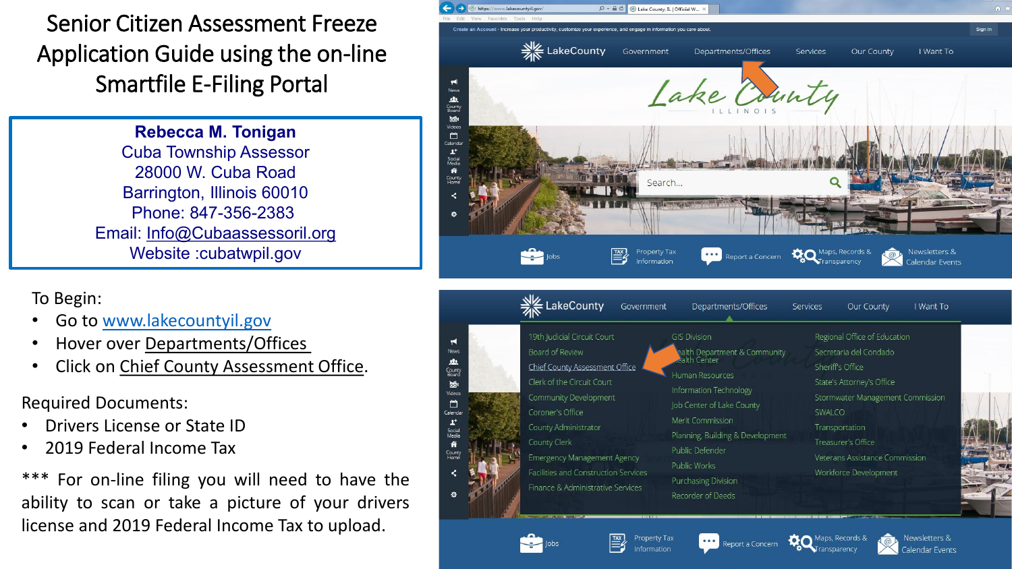Senior Citizen Assessment Freeze Application Guide using the on-line Smartfile E-Filing Portal

> **Rebecca M. Tonigan** Cuba Township Assessor 28000 W. Cuba Road Barrington, Illinois 60010 Phone: 847-356-2383 Email: [Info@Cubaassessoril.org](mailto:Info@Cubaassessoril.org) Website :cubatwpil.gov

To Begin:

- Go to [www.lakecountyil.gov](http://www.lakecountyil.gov/)
- Hover over Departments/Offices
- Click on Chief County Assessment Office.

Required Documents:

- Drivers License or State ID
- 2019 Federal Income Tax

\*\*\* For on-line filing you will need to have the ability to scan or take a picture of your drivers license and 2019 Federal Income Tax to upload.



**Purchasing Division** 

Recorder of Deeds

Report a Concern

Property Tax

Information

Facilities and Construction Services

Finance & Administrative Services

Workforce Development

Newsletters & **Indar Events**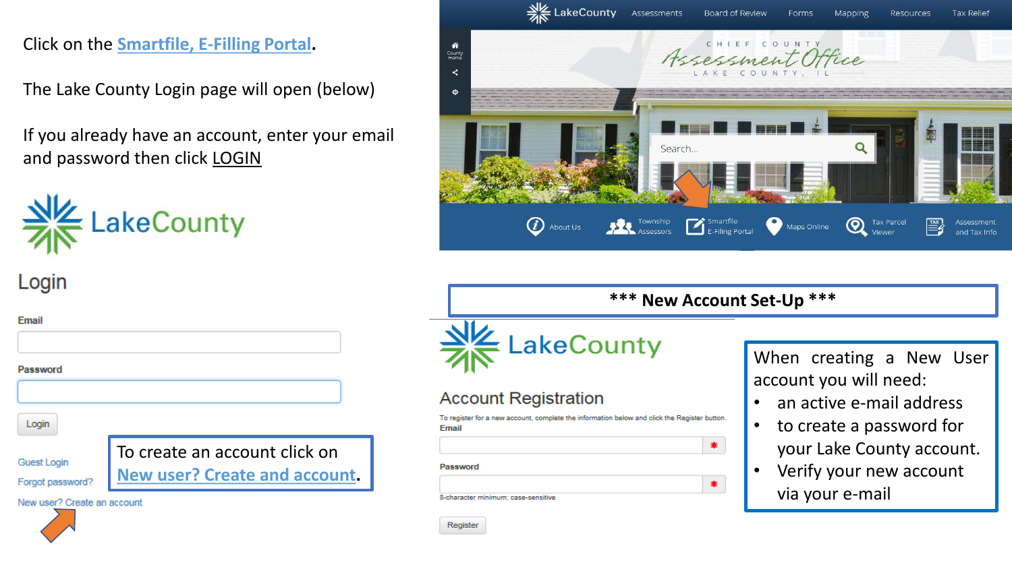Click on the **Smartfile, E-Filling Portal.**

The Lake County Login page will open (below)

If you already have an account, enter your email and password then click **LOGIN** 

To create an account click on

**New user? Create and account.**



Login

Email

Password

Login

**Guest Login** Forgot password?

New user? Create an account



|                                     | <b>FRICE LakeCounty</b> Assessments |        | Board of Review                      | <b>Forms</b> | <b>Mapping</b> | Resources                   | Tax Relief                 |
|-------------------------------------|-------------------------------------|--------|--------------------------------------|--------------|----------------|-----------------------------|----------------------------|
| 省<br>County<br>Home<br>$\prec$<br>۰ |                                     |        | Assessment Office<br>LAKE COUNTY, II |              |                |                             |                            |
|                                     |                                     | Search |                                      |              |                |                             |                            |
|                                     | $\bm{C}$<br>About Us                |        | Township Smartfile                   | Maps Online  |                | <b>Tax Parcel</b><br>Viewer | Assessment<br>and Tax Info |

#### **\*\*\* New Account Set-Up \*\*\***

 $\clubsuit$ 

 $\ast$ 



 $\overline{\mathbf{w}}$ 

## **Account Registration**

To register for a new account, complete the information below and click the Register button. Email

Password

8-character minimum; case-sensitive

When creating a New User account you will need:

- an active e-mail address
- to create a password for your Lake County account.
- Verify your new account via your e-mail

Register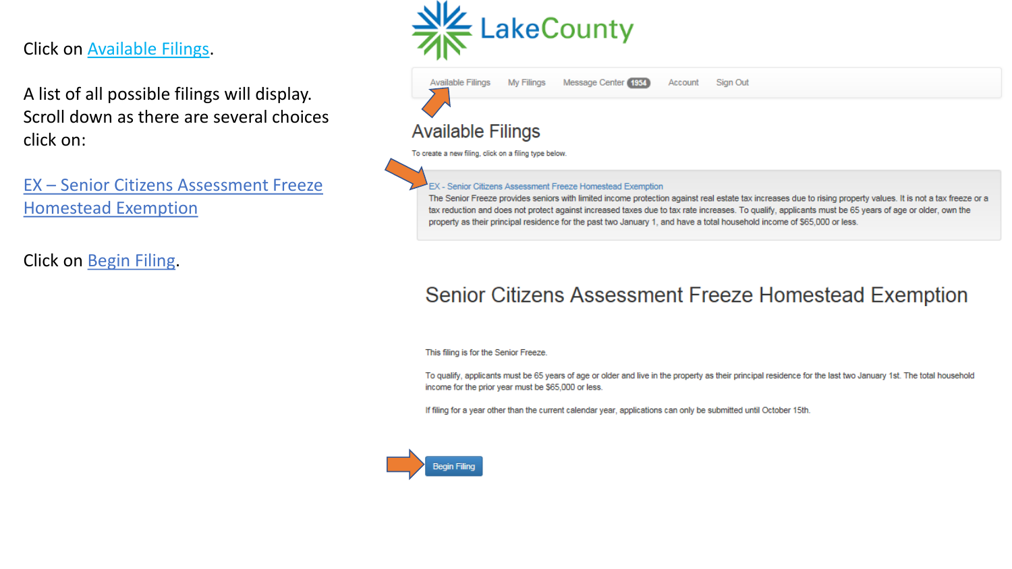## Click on Available Filings.

A list of all possible filings will display. Scroll down as there are several choices click on:

EX – Senior Citizens Assessment Freeze Homestead Exemption

Click on Begin Filing.



| Message Center (1954)<br><b>Available Filings</b><br><b>My Filings</b>                                                                                                                        | Sign Out<br>Account                                                                                                                                                                                                                                                                                                      |
|-----------------------------------------------------------------------------------------------------------------------------------------------------------------------------------------------|--------------------------------------------------------------------------------------------------------------------------------------------------------------------------------------------------------------------------------------------------------------------------------------------------------------------------|
| <b>Available Filings</b>                                                                                                                                                                      |                                                                                                                                                                                                                                                                                                                          |
| To create a new filing, click on a filing type below.                                                                                                                                         |                                                                                                                                                                                                                                                                                                                          |
|                                                                                                                                                                                               |                                                                                                                                                                                                                                                                                                                          |
| <b>EX</b> - Senior Citizens Assessment Freeze Homestead Exemption<br>property as their principal residence for the past two January 1, and have a total household income of \$65,000 or less. | The Senior Freeze provides seniors with limited income protection against real estate tax increases due to rising property values. It is not a tax freeze or a<br>tax reduction and does not protect against increased taxes due to tax rate increases. To qualify, applicants must be 65 years of age or older, own the |

# Senior Citizens Assessment Freeze Homestead Exemption

This filing is for the Senior Freeze.

To qualify, applicants must be 65 years of age or older and live in the property as their principal residence for the last two January 1st. The total household income for the prior year must be \$65,000 or less.

If filing for a year other than the current calendar year, applications can only be submitted until October 15th.

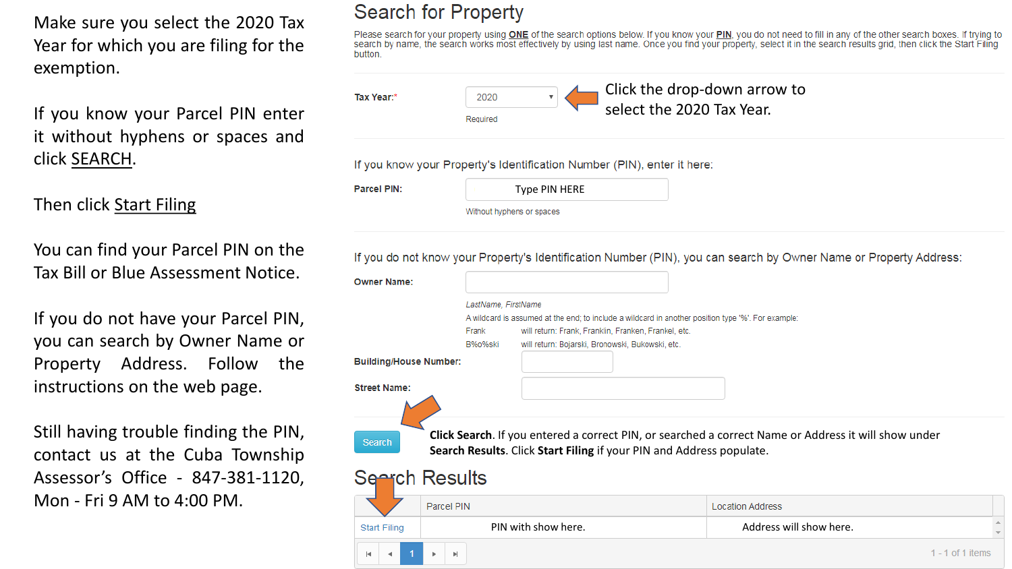Make sure you select the 2020 Tax Year for which you are filing for the exemption.

If you know your Parcel PIN enter it without hyphens or spaces and click SEARCH.

## Then click Start Filing

You can find your Parcel PIN on the Tax Bill or Blue Assessment Notice.

If you do not have your Parcel PIN, you can search by Owner Name or Property Address. Follow the instructions on the web page.

Still having trouble finding the PIN, contact us at the Cuba Township Assessor's Office - 847-381-1120, Mon - Fri 9 AM to 4:00 PM.

# Search for Property

Please search for your property using ONE of the search options below. If you know your PIN, you do not need to fill in any of the other search boxes. If trying to search by name, the search works most effectively by using last name. Once you find your property, select it in the search results grid, then click the Start Filing button.

| Tax Year:* | 2020     | $\Box$ Click the drop-down arrow to<br>select the 2020 Tax Year. |
|------------|----------|------------------------------------------------------------------|
|            | Required |                                                                  |

If you know your Property's Identification Number (PIN), enter it here:

| Parcel PIN: |  |
|-------------|--|
|             |  |

| Type PIN HERE |  |
|---------------|--|
|               |  |

Without hyphens or spaces

If you do not know your Property's Identification Number (PIN), you can search by Owner Name or Property Address:

|                               | LastName, FirstName | A wildcard is assumed at the end; to include a wildcard in another position type '%'. For example:       |                                                                                                      |  |
|-------------------------------|---------------------|----------------------------------------------------------------------------------------------------------|------------------------------------------------------------------------------------------------------|--|
|                               | Frank<br>B%o%ski    | will return: Frank, Franklin, Franken, Frankel, etc.<br>will return: Bojarski, Bronowski, Bukowski, etc. |                                                                                                      |  |
| <b>Building/House Number:</b> |                     |                                                                                                          |                                                                                                      |  |
| <b>Street Name:</b>           |                     |                                                                                                          |                                                                                                      |  |
|                               |                     |                                                                                                          |                                                                                                      |  |
|                               |                     |                                                                                                          |                                                                                                      |  |
|                               |                     |                                                                                                          |                                                                                                      |  |
| Search                        |                     | Search Results. Click Start Filing if your PIN and Address populate.                                     | Click Search. If you entered a correct PIN, or searched a correct Name or Address it will show under |  |
|                               |                     |                                                                                                          |                                                                                                      |  |
|                               |                     |                                                                                                          |                                                                                                      |  |
| Seerch Results                | Parcel PIN          |                                                                                                          | <b>Location Address</b>                                                                              |  |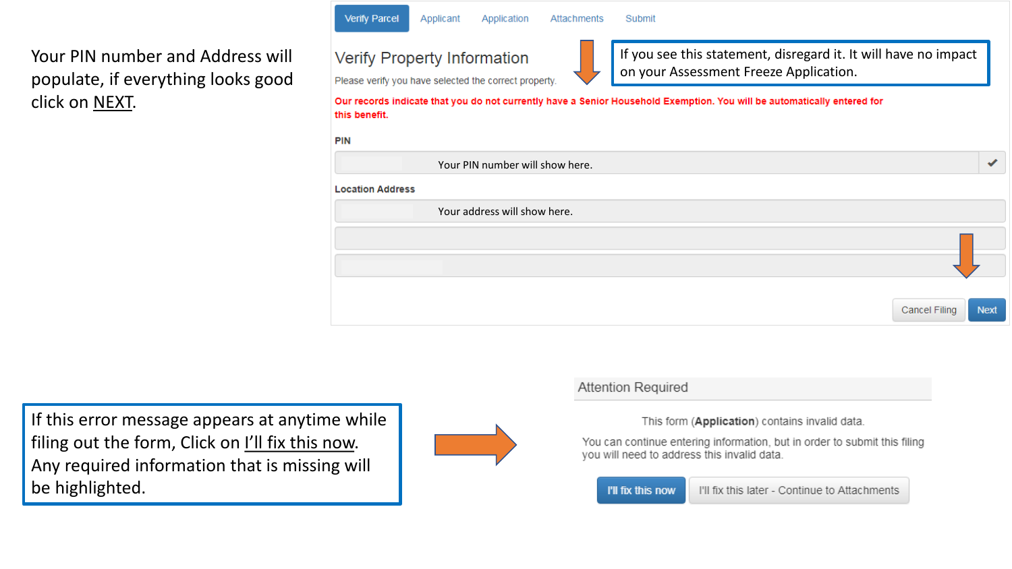Your PIN number and Address will populate, if everything looks good click on NEXT.



Applicant

Please verify you have selected the correct property.

Application

Attachments

If you see this statement, disregard it. It will have no impact on your Assessment Freeze Application.

Our records indicate that you do not currently have a Senior Household Exemption. You will be automatically entered for this benefit.

Submit

**Verify Parcel** 

|                         | Your PIN number will show here. |             |
|-------------------------|---------------------------------|-------------|
| <b>Location Address</b> |                                 |             |
|                         | Your address will show here.    |             |
|                         |                                 |             |
|                         | Cancel Filing                   | <b>Next</b> |

If this error message appears at anytime while filing out the form, Click on I'll fix this now. Any required information that is missing will be highlighted.



#### **Attention Required**

This form (Application) contains invalid data.

You can continue entering information, but in order to submit this filing you will need to address this invalid data.

#### I'll fix this now

I'll fix this later - Continue to Attachments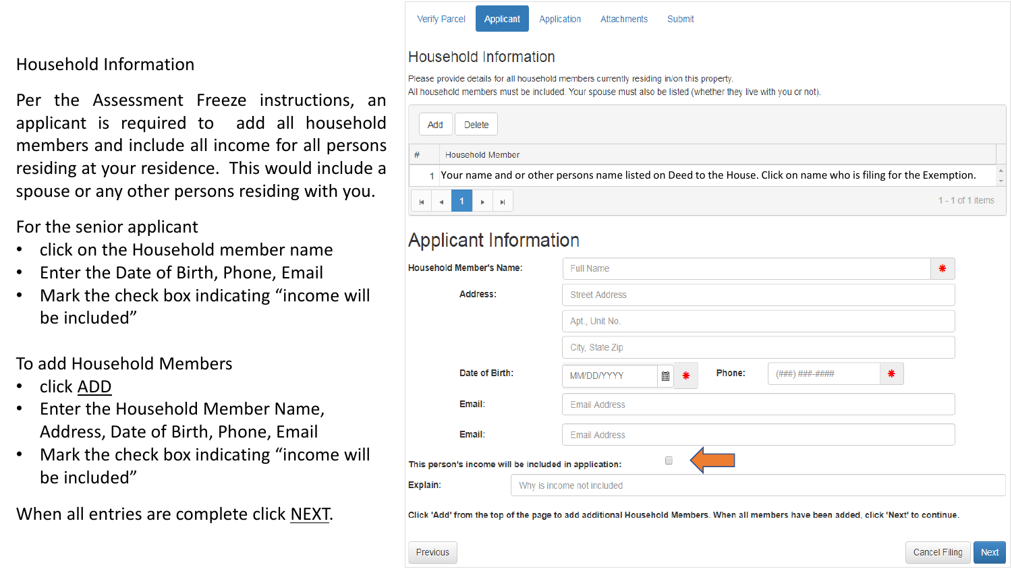## Household Information

Per the Assessment Freeze instructions, an applicant is required to add all household members and include all income for all persons residing at your residence. This would include a spouse or any other persons residing with you.

#### For the senior applicant

- click on the Household member name
- Enter the Date of Birth, Phone, Email
- Mark the check box indicating "income will be included"

## To add Household Members

- click ADD
- Enter the Household Member Name, Address, Date of Birth, Phone, Email
- Mark the check box indicating "income will be included"
- When all entries are complete click NEXT.

#### **Household Information**

Please provide details for all household members currently residing in/on this property All household members must be included. Your spouse must also be listed (whether they live with you or not).

| Add     | Delete                                                                                                          |  |
|---------|-----------------------------------------------------------------------------------------------------------------|--|
| #       | Household Member                                                                                                |  |
|         | Your name and or other persons name listed on Deed to the House. Click on name who is filing for the Exemption. |  |
| $H$ $4$ | $1 \times H$<br>1 - 1 of 1 items                                                                                |  |

# **Applicant Information**

| <b>Household Member's Name:</b>                                                                                                       | <b>Full Name</b>           |                       |        |        |                |   | ₩ |
|---------------------------------------------------------------------------------------------------------------------------------------|----------------------------|-----------------------|--------|--------|----------------|---|---|
| Address:                                                                                                                              |                            | <b>Street Address</b> |        |        |                |   |   |
|                                                                                                                                       |                            | Apt., Unit No.        |        |        |                |   |   |
|                                                                                                                                       |                            | City, State Zip       |        |        |                |   |   |
| Date of Birth:                                                                                                                        |                            | MM/DD/YYYY            | ⊞<br>* | Phone: | (###) ###-#### | * |   |
| Email:                                                                                                                                |                            | <b>Email Address</b>  |        |        |                |   |   |
| Email:                                                                                                                                |                            | <b>Email Address</b>  |        |        |                |   |   |
| This person's income will be included in application:                                                                                 |                            |                       | 0      |        |                |   |   |
| Explain:                                                                                                                              | Why is income not included |                       |        |        |                |   |   |
| Click 'Add' from the top of the page to add additional Household Members. When all members have been added, click 'Next' to continue. |                            |                       |        |        |                |   |   |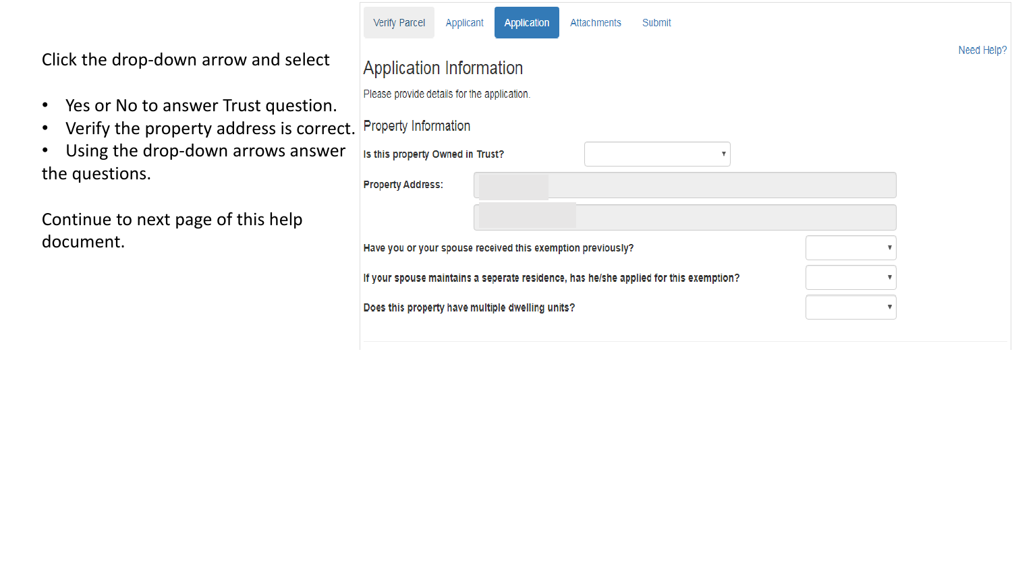Click the drop-down arrow and select

- Yes or No to answer Trust question.
- Verify the property address is correct.
- Using the drop-down arrows answer the questions.

Continue to next page of this help document.

| Verify Parcel                                               | Applicant | Application | Attachments | Submit                                                                                |                         |            |
|-------------------------------------------------------------|-----------|-------------|-------------|---------------------------------------------------------------------------------------|-------------------------|------------|
|                                                             |           |             |             |                                                                                       |                         | Need Help? |
| <b>Application Information</b>                              |           |             |             |                                                                                       |                         |            |
| Please provide details for the application.                 |           |             |             |                                                                                       |                         |            |
| <b>Property Information</b>                                 |           |             |             |                                                                                       |                         |            |
| Is this property Owned in Trust?                            |           |             |             | v                                                                                     |                         |            |
| <b>Property Address:</b>                                    |           |             |             |                                                                                       |                         |            |
|                                                             |           |             |             |                                                                                       |                         |            |
| Have you or your spouse received this exemption previously? |           |             |             |                                                                                       |                         |            |
|                                                             |           |             |             | If your spouse maintains a seperate residence, has he/she applied for this exemption? |                         |            |
| Does this property have multiple dwelling units?            |           |             |             |                                                                                       | $\overline{\mathbf{v}}$ |            |
|                                                             |           |             |             |                                                                                       |                         |            |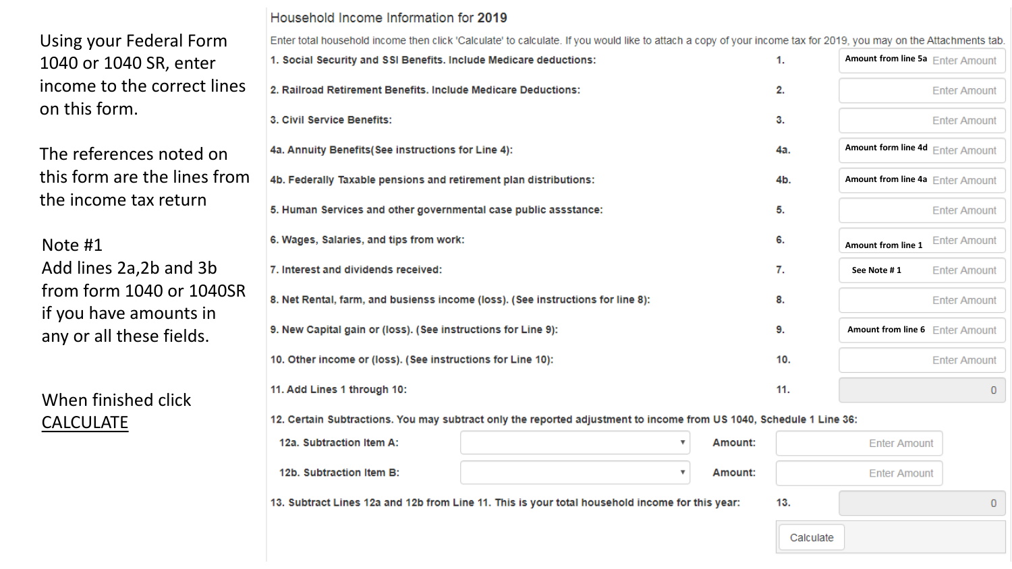Using your Federal Form 1040 or 1040 SR, enter income to the correct lines on this form.

The references noted on this form are the lines from the income tax return

Note #1 Add lines 2a,2b and 3b from form 1040 or 1040SR if you have amounts in

When finished click CALCULATE

Household Income Information for 2019

Enter total household income then click 'Calculate' to calculate. If you would like to attach a copy of your income tax for 2019, you may on the Attachments tab. **Amount from line 5a** 1. Social Security and SSI Benefits. Include Medicare deductions: 1. 2. Railroad Retirement Benefits, Include Medicare Deductions: 2. **Enter Amount** 3. Civil Service Benefits: 3. **Enter Amount Amount form line 4d** 4a. Annuity Benefits (See instructions for Line 4): 4a. 4b. Federally Taxable pensions and retirement plan distributions: **Amount from line 4a** 4b. 5. Human Services and other governmental case public assstance: 5. **Enter Amount** 6. Wages, Salaries, and tips from work: 6. **Enter Amount Amount from line 1** 7. Interest and dividends received: 7. **See Note # 1 Enter Amount** 8. Net Rental, farm, and busienss income (loss). (See instructions for line 8): 8. **Enter Amount** any or all these fields. **According the Separation of the Section State of Line 9** amount the temperature of the state of the state of the state of the state of the state of the state of the state of the state of the state 10. Other income or (loss). (See instructions for Line 10): 10. **Enter Amount** 11. Add Lines 1 through 10:  $11.$  $\mathbf{0}$ 

12. Certain Subtractions. You may subtract only the reported adjustment to income from US 1040, Schedule 1 Line 36:

| 12a. Subtraction Item A: | Amount: | <b>Enter Amount</b> |
|--------------------------|---------|---------------------|
| 12b. Subtraction Item B: | Amount: | <b>Enter Amount</b> |

13. Subtract Lines 12a and 12b from Line 11. This is your total household income for this year:

|           | <b>Enter Amount</b> |  |
|-----------|---------------------|--|
| ٠         |                     |  |
| Calculate |                     |  |

13.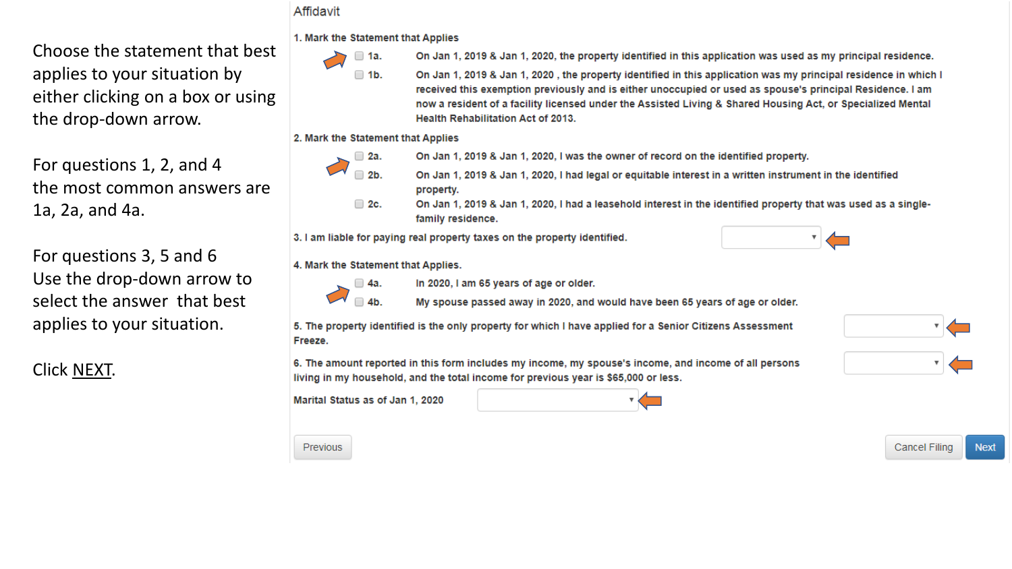Choose the statement that best applies to your situation by either clicking on a box or using the drop-down arrow.

For questions 1, 2, and 4 the most common answers are 1a, 2a, and 4a.

For questions 3, 5 and 6 Use the drop-down arrow to select the answer that best applies to your situation.

# Click NEXT.

#### Affidavit

1. Mark the Statement that Applies

 $\Box$  1b.

- $\Box$  1a.
- On Jan 1, 2019 & Jan 1, 2020, the property identified in this application was used as my principal residence.
- On Jan 1, 2019 & Jan 1, 2020, the property identified in this application was my principal residence in which I received this exemption previously and is either unoccupied or used as spouse's principal Residence. I am now a resident of a facility licensed under the Assisted Living & Shared Housing Act, or Specialized Mental **Health Rehabilitation Act of 2013.**

2. Mark the Statement that Applies



- On Jan 1, 2019 & Jan 1, 2020, I was the owner of record on the identified property.
- On Jan 1, 2019 & Jan 1, 2020, I had legal or equitable interest in a written instrument in the identified property.
- On Jan 1, 2019 & Jan 1, 2020, I had a leasehold interest in the identified property that was used as a single- $\Box$  2c. family residence.

3. I am liable for paying real property taxes on the property identified.

4. Mark the Statement that Applies.



In 2020, I am 65 years of age or older.



 $\neg$  4b.

My spouse passed away in 2020, and would have been 65 years of age or older.

5. The property identified is the only property for which I have applied for a Senior Citizens Assessment Freeze.

6. The amount reported in this form includes my income, my spouse's income, and income of all persons living in my household, and the total income for previous year is \$65,000 or less.

Marital Status as of Jan 1, 2020



Previous





**Cancel Filing** 

**Next**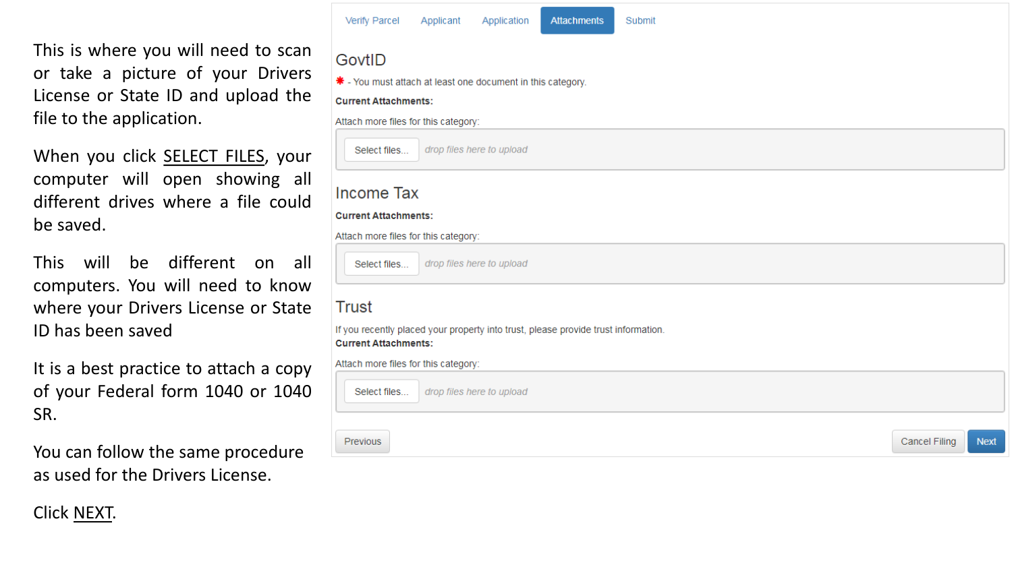This is where you will need to scan or take a picture of your Drivers License or State ID and upload the file to the application.

When you click SELECT FILES, your computer will open showing all different drives where a file could be saved.

This will be different on all computers. You will need to know where your Drivers License or State ID has been saved

It is a best practice to attach a copy of your Federal form 1040 or 1040 SR.

You can follow the same procedure as used for the Drivers License.

#### Verify Parcel Applicant **Attachments** Submit Application GovtID \* - You must attach at least one document in this category. **Current Attachments:** Attach more files for this category: Select files... drop files here to upload **Income Tax Current Attachments:** Attach more files for this category: drop files here to upload Select files... Trust If you recently placed your property into trust, please provide trust information. **Current Attachments:** Attach more files for this category: Select files... drop files here to upload Previous **Cancel Filing Next**

# Click NEXT.